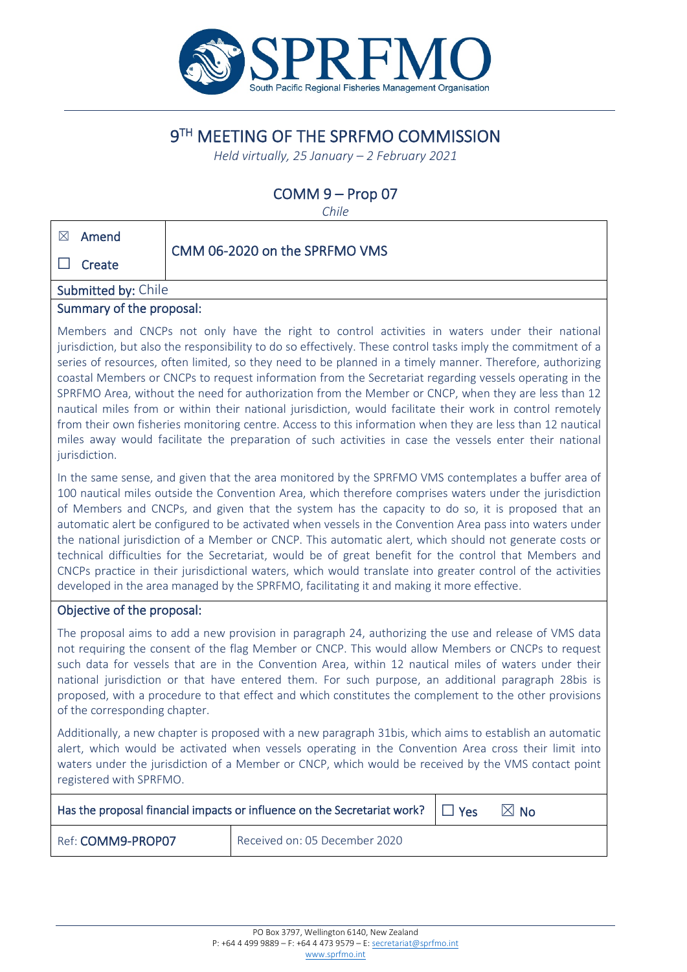

# 9TH MEETING OF THE SPRFMO COMMISSION

*Held virtually, 25 January – 2 February 2021*

## COMM 9 – Prop 07

*Chile*

| $\boxtimes$<br>Amend       |                               |
|----------------------------|-------------------------------|
| $\perp$<br>Create          | CMM 06-2020 on the SPRFMO VMS |
| <b>Submitted by: Chile</b> |                               |

#### Summary of the proposal:

Members and CNCPs not only have the right to control activities in waters under their national jurisdiction, but also the responsibility to do so effectively. These control tasks imply the commitment of a series of resources, often limited, so they need to be planned in a timely manner. Therefore, authorizing coastal Members or CNCPs to request information from the Secretariat regarding vessels operating in the SPRFMO Area, without the need for authorization from the Member or CNCP, when they are less than 12 nautical miles from or within their national jurisdiction, would facilitate their work in control remotely from their own fisheries monitoring centre. Access to this information when they are less than 12 nautical miles away would facilitate the preparation of such activities in case the vessels enter their national jurisdiction.

In the same sense, and given that the area monitored by the SPRFMO VMS contemplates a buffer area of 100 nautical miles outside the Convention Area, which therefore comprises waters under the jurisdiction of Members and CNCPs, and given that the system has the capacity to do so, it is proposed that an automatic alert be configured to be activated when vessels in the Convention Area pass into waters under the national jurisdiction of a Member or CNCP. This automatic alert, which should not generate costs or technical difficulties for the Secretariat, would be of great benefit for the control that Members and CNCPs practice in their jurisdictional waters, which would translate into greater control of the activities developed in the area managed by the SPRFMO, facilitating it and making it more effective.

#### Objective of the proposal:

The proposal aims to add a new provision in paragraph 24, authorizing the use and release of VMS data not requiring the consent of the flag Member or CNCP. This would allow Members or CNCPs to request such data for vessels that are in the Convention Area, within 12 nautical miles of waters under their national jurisdiction or that have entered them. For such purpose, an additional paragraph 28bis is proposed, with a procedure to that effect and which constitutes the complement to the other provisions of the corresponding chapter.

Additionally, a new chapter is proposed with a new paragraph 31bis, which aims to establish an automatic alert, which would be activated when vessels operating in the Convention Area cross their limit into waters under the jurisdiction of a Member or CNCP, which would be received by the VMS contact point registered with SPRFMO.

| Has the proposal financial impacts or influence on the Secretariat work? $\Box$ Yes |                               |  | $\boxtimes$ No |
|-------------------------------------------------------------------------------------|-------------------------------|--|----------------|
| Ref: COMM9-PROP07                                                                   | Received on: 05 December 2020 |  |                |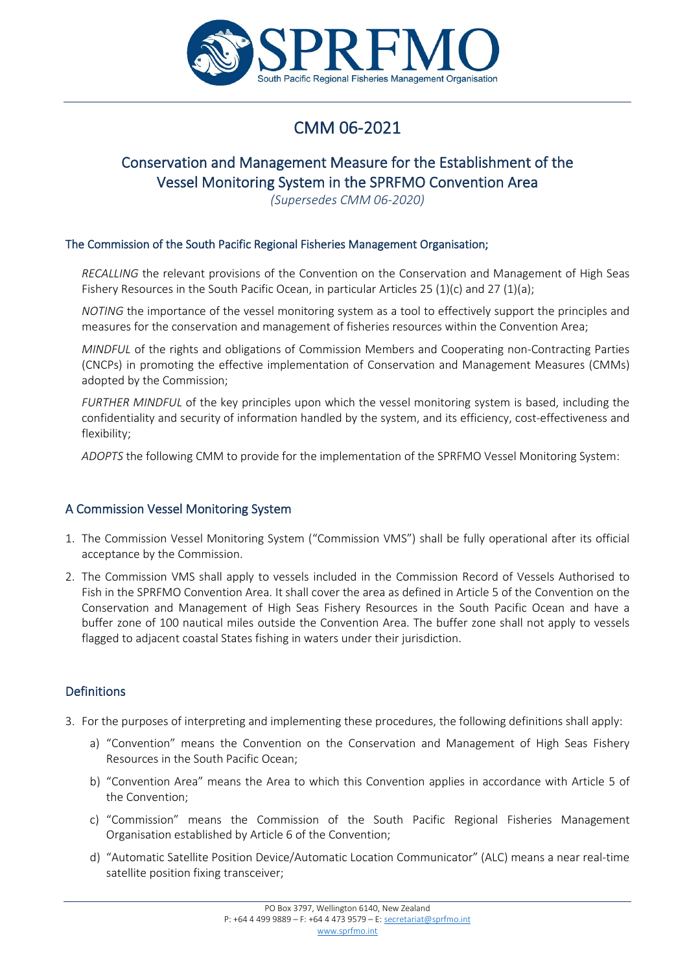

# CMM 06-2021

## Conservation and Management Measure for the Establishment of the Vessel Monitoring System in the SPRFMO Convention Area

*(Supersedes CMM 06-2020)*

#### The Commission of the South Pacific Regional Fisheries Management Organisation;

*RECALLING* the relevant provisions of the Convention on the Conservation and Management of High Seas Fishery Resources in the South Pacific Ocean, in particular Articles 25 (1)(c) and 27 (1)(a);

*NOTING* the importance of the vessel monitoring system as a tool to effectively support the principles and measures for the conservation and management of fisheries resources within the Convention Area;

*MINDFUL* of the rights and obligations of Commission Members and Cooperating non-Contracting Parties (CNCPs) in promoting the effective implementation of Conservation and Management Measures (CMMs) adopted by the Commission;

*FURTHER MINDFUL* of the key principles upon which the vessel monitoring system is based, including the confidentiality and security of information handled by the system, and its efficiency, cost-effectiveness and flexibility;

*ADOPTS* the following CMM to provide for the implementation of the SPRFMO Vessel Monitoring System:

#### A Commission Vessel Monitoring System

- 1. The Commission Vessel Monitoring System ("Commission VMS") shall be fully operational after its official acceptance by the Commission.
- 2. The Commission VMS shall apply to vessels included in the Commission Record of Vessels Authorised to Fish in the SPRFMO Convention Area. It shall cover the area as defined in Article 5 of the Convention on the Conservation and Management of High Seas Fishery Resources in the South Pacific Ocean and have a buffer zone of 100 nautical miles outside the Convention Area. The buffer zone shall not apply to vessels flagged to adjacent coastal States fishing in waters under their jurisdiction.

#### Definitions

- 3. For the purposes of interpreting and implementing these procedures, the following definitions shall apply:
	- a) "Convention" means the Convention on the Conservation and Management of High Seas Fishery Resources in the South Pacific Ocean;
	- b) "Convention Area" means the Area to which this Convention applies in accordance with Article 5 of the Convention;
	- c) "Commission" means the Commission of the South Pacific Regional Fisheries Management Organisation established by Article 6 of the Convention;
	- d) "Automatic Satellite Position Device/Automatic Location Communicator" (ALC) means a near real-time satellite position fixing transceiver;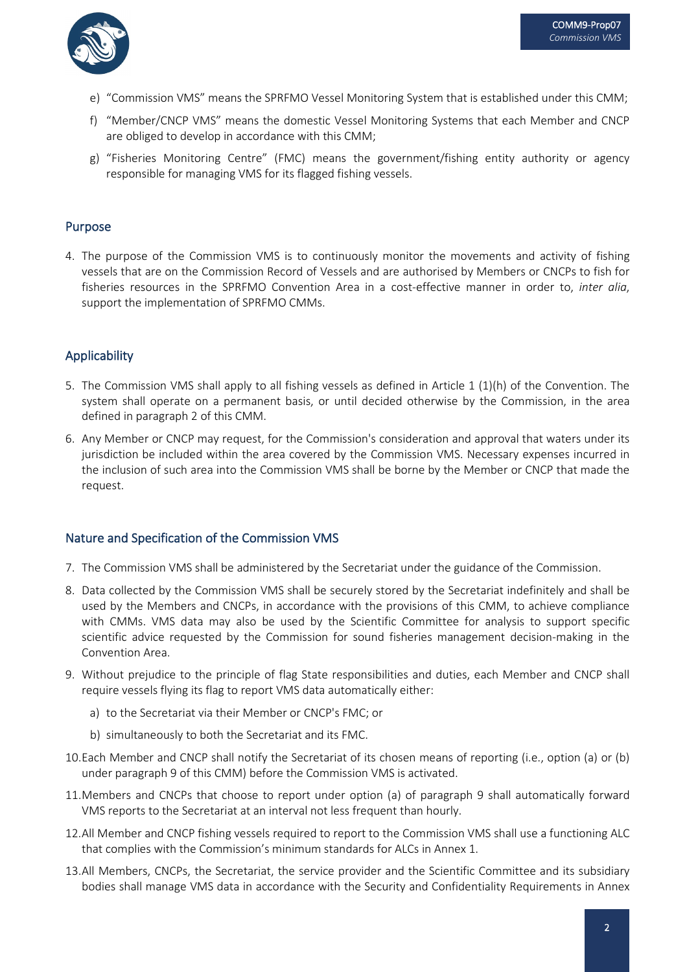

- e) "Commission VMS" means the SPRFMO Vessel Monitoring System that is established under this CMM;
- f) "Member/CNCP VMS" means the domestic Vessel Monitoring Systems that each Member and CNCP are obliged to develop in accordance with this CMM;
- g) "Fisheries Monitoring Centre" (FMC) means the government/fishing entity authority or agency responsible for managing VMS for its flagged fishing vessels.

#### Purpose

4. The purpose of the Commission VMS is to continuously monitor the movements and activity of fishing vessels that are on the Commission Record of Vessels and are authorised by Members or CNCPs to fish for fisheries resources in the SPRFMO Convention Area in a cost-effective manner in order to, *inter alia*, support the implementation of SPRFMO CMMs.

#### Applicability

- 5. The Commission VMS shall apply to all fishing vessels as defined in Article 1 (1)(h) of the Convention. The system shall operate on a permanent basis, or until decided otherwise by the Commission, in the area defined in paragraph 2 of this CMM.
- 6. Any Member or CNCP may request, for the Commission's consideration and approval that waters under its jurisdiction be included within the area covered by the Commission VMS. Necessary expenses incurred in the inclusion of such area into the Commission VMS shall be borne by the Member or CNCP that made the request.

#### Nature and Specification of the Commission VMS

- 7. The Commission VMS shall be administered by the Secretariat under the guidance of the Commission.
- 8. Data collected by the Commission VMS shall be securely stored by the Secretariat indefinitely and shall be used by the Members and CNCPs, in accordance with the provisions of this CMM, to achieve compliance with CMMs. VMS data may also be used by the Scientific Committee for analysis to support specific scientific advice requested by the Commission for sound fisheries management decision-making in the Convention Area.
- 9. Without prejudice to the principle of flag State responsibilities and duties, each Member and CNCP shall require vessels flying its flag to report VMS data automatically either:
	- a) to the Secretariat via their Member or CNCP's FMC; or
	- b) simultaneously to both the Secretariat and its FMC.
- 10.Each Member and CNCP shall notify the Secretariat of its chosen means of reporting (i.e., option (a) or (b) under paragraph 9 of this CMM) before the Commission VMS is activated.
- 11.Members and CNCPs that choose to report under option (a) of paragraph 9 shall automatically forward VMS reports to the Secretariat at an interval not less frequent than hourly.
- 12.All Member and CNCP fishing vessels required to report to the Commission VMS shall use a functioning ALC that complies with the Commission's minimum standards for ALCs in Annex 1.
- 13.All Members, CNCPs, the Secretariat, the service provider and the Scientific Committee and its subsidiary bodies shall manage VMS data in accordance with the Security and Confidentiality Requirements in Annex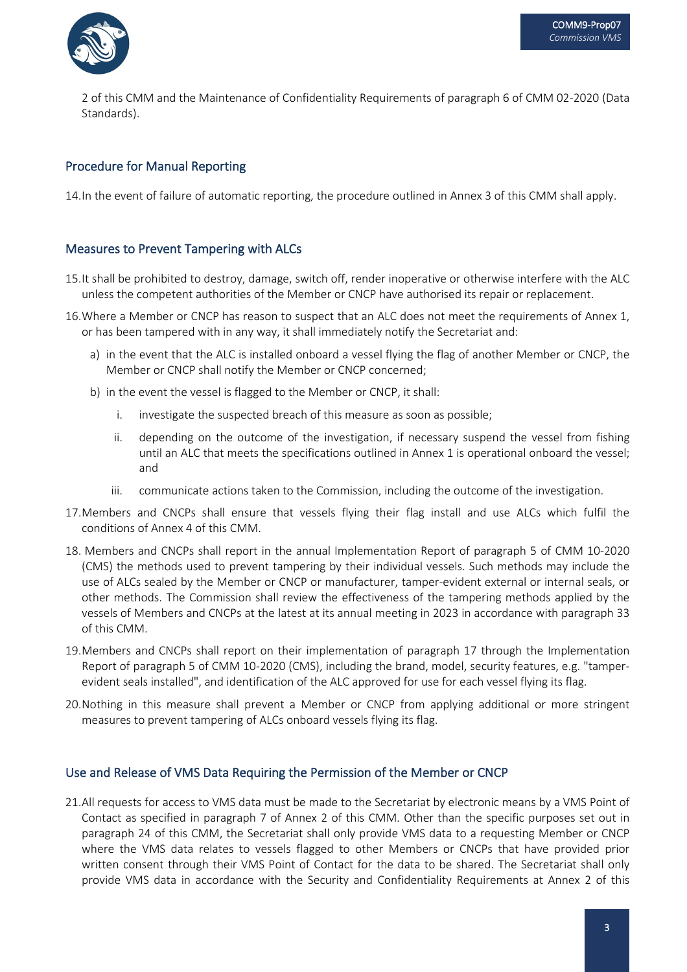

2 of this CMM and the Maintenance of Confidentiality Requirements of paragraph 6 of CMM 02-2020 (Data Standards).

#### Procedure for Manual Reporting

14.In the event of failure of automatic reporting, the procedure outlined in Annex 3 of this CMM shall apply.

#### Measures to Prevent Tampering with ALCs

- 15.It shall be prohibited to destroy, damage, switch off, render inoperative or otherwise interfere with the ALC unless the competent authorities of the Member or CNCP have authorised its repair or replacement.
- 16.Where a Member or CNCP has reason to suspect that an ALC does not meet the requirements of Annex 1, or has been tampered with in any way, it shall immediately notify the Secretariat and:
	- a) in the event that the ALC is installed onboard a vessel flying the flag of another Member or CNCP, the Member or CNCP shall notify the Member or CNCP concerned;
	- b) in the event the vessel is flagged to the Member or CNCP, it shall:
		- i. investigate the suspected breach of this measure as soon as possible;
		- ii. depending on the outcome of the investigation, if necessary suspend the vessel from fishing until an ALC that meets the specifications outlined in Annex 1 is operational onboard the vessel; and
		- iii. communicate actions taken to the Commission, including the outcome of the investigation.
- 17.Members and CNCPs shall ensure that vessels flying their flag install and use ALCs which fulfil the conditions of Annex 4 of this CMM.
- 18. Members and CNCPs shall report in the annual Implementation Report of paragraph 5 of CMM 10-2020 (CMS) the methods used to prevent tampering by their individual vessels. Such methods may include the use of ALCs sealed by the Member or CNCP or manufacturer, tamper-evident external or internal seals, or other methods. The Commission shall review the effectiveness of the tampering methods applied by the vessels of Members and CNCPs at the latest at its annual meeting in 2023 in accordance with paragraph 33 of this CMM.
- 19.Members and CNCPs shall report on their implementation of paragraph 17 through the Implementation Report of paragraph 5 of CMM 10-2020 (CMS), including the brand, model, security features, e.g. "tamperevident seals installed", and identification of the ALC approved for use for each vessel flying its flag.
- 20.Nothing in this measure shall prevent a Member or CNCP from applying additional or more stringent measures to prevent tampering of ALCs onboard vessels flying its flag.

#### Use and Release of VMS Data Requiring the Permission of the Member or CNCP

21.All requests for access to VMS data must be made to the Secretariat by electronic means by a VMS Point of Contact as specified in paragraph 7 of Annex 2 of this CMM. Other than the specific purposes set out in paragraph 24 of this CMM, the Secretariat shall only provide VMS data to a requesting Member or CNCP where the VMS data relates to vessels flagged to other Members or CNCPs that have provided prior written consent through their VMS Point of Contact for the data to be shared. The Secretariat shall only provide VMS data in accordance with the Security and Confidentiality Requirements at Annex 2 of this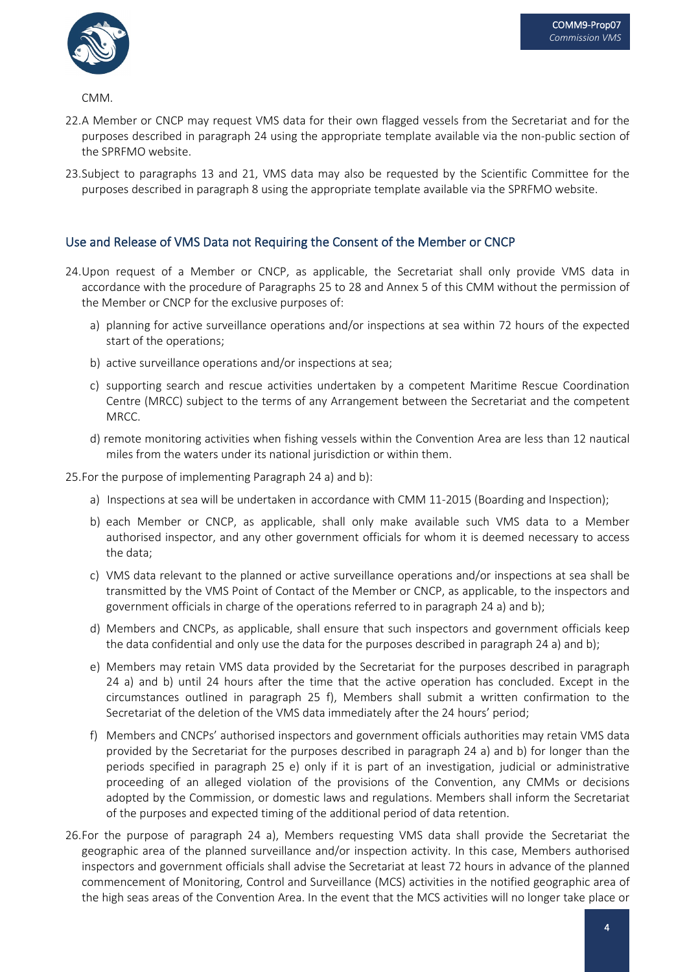

CMM.

- 22.A Member or CNCP may request VMS data for their own flagged vessels from the Secretariat and for the purposes described in paragraph 24 using the appropriate template available via the non-public section of the SPRFMO website.
- 23.Subject to paragraphs 13 and 21, VMS data may also be requested by the Scientific Committee for the purposes described in paragraph 8 using the appropriate template available via the SPRFMO website.

#### Use and Release of VMS Data not Requiring the Consent of the Member or CNCP

- 24.Upon request of a Member or CNCP, as applicable, the Secretariat shall only provide VMS data in accordance with the procedure of Paragraphs 25 to 28 and Annex 5 of this CMM without the permission of the Member or CNCP for the exclusive purposes of:
	- a) planning for active surveillance operations and/or inspections at sea within 72 hours of the expected start of the operations;
	- b) active surveillance operations and/or inspections at sea;
	- c) supporting search and rescue activities undertaken by a competent Maritime Rescue Coordination Centre (MRCC) subject to the terms of any Arrangement between the Secretariat and the competent MRCC.
	- d) remote monitoring activities when fishing vessels within the Convention Area are less than 12 nautical miles from the waters under its national jurisdiction or within them.

25.For the purpose of implementing Paragraph 24 a) and b):

- a) Inspections at sea will be undertaken in accordance with CMM 11-2015 (Boarding and Inspection);
- b) each Member or CNCP, as applicable, shall only make available such VMS data to a Member authorised inspector, and any other government officials for whom it is deemed necessary to access the data;
- c) VMS data relevant to the planned or active surveillance operations and/or inspections at sea shall be transmitted by the VMS Point of Contact of the Member or CNCP, as applicable, to the inspectors and government officials in charge of the operations referred to in paragraph 24 a) and b);
- d) Members and CNCPs, as applicable, shall ensure that such inspectors and government officials keep the data confidential and only use the data for the purposes described in paragraph 24 a) and b);
- e) Members may retain VMS data provided by the Secretariat for the purposes described in paragraph 24 a) and b) until 24 hours after the time that the active operation has concluded. Except in the circumstances outlined in paragraph 25 f), Members shall submit a written confirmation to the Secretariat of the deletion of the VMS data immediately after the 24 hours' period;
- f) Members and CNCPs' authorised inspectors and government officials authorities may retain VMS data provided by the Secretariat for the purposes described in paragraph 24 a) and b) for longer than the periods specified in paragraph 25 e) only if it is part of an investigation, judicial or administrative proceeding of an alleged violation of the provisions of the Convention, any CMMs or decisions adopted by the Commission, or domestic laws and regulations. Members shall inform the Secretariat of the purposes and expected timing of the additional period of data retention.
- 26.For the purpose of paragraph 24 a), Members requesting VMS data shall provide the Secretariat the geographic area of the planned surveillance and/or inspection activity. In this case, Members authorised inspectors and government officials shall advise the Secretariat at least 72 hours in advance of the planned commencement of Monitoring, Control and Surveillance (MCS) activities in the notified geographic area of the high seas areas of the Convention Area. In the event that the MCS activities will no longer take place or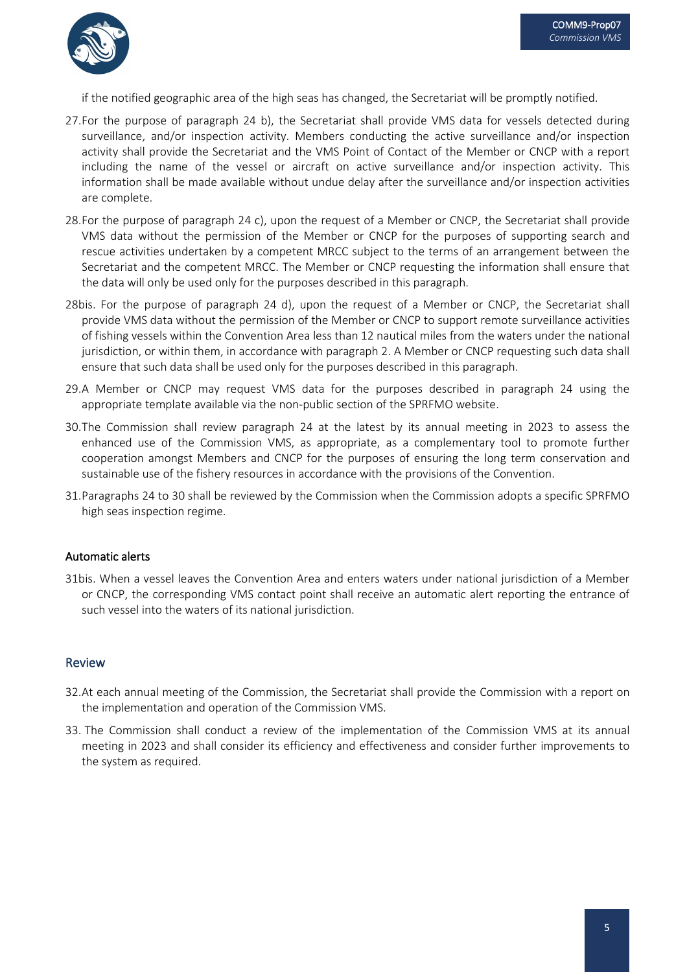

if the notified geographic area of the high seas has changed, the Secretariat will be promptly notified.

- 27.For the purpose of paragraph 24 b), the Secretariat shall provide VMS data for vessels detected during surveillance, and/or inspection activity. Members conducting the active surveillance and/or inspection activity shall provide the Secretariat and the VMS Point of Contact of the Member or CNCP with a report including the name of the vessel or aircraft on active surveillance and/or inspection activity. This information shall be made available without undue delay after the surveillance and/or inspection activities are complete.
- 28.For the purpose of paragraph 24 c), upon the request of a Member or CNCP, the Secretariat shall provide VMS data without the permission of the Member or CNCP for the purposes of supporting search and rescue activities undertaken by a competent MRCC subject to the terms of an arrangement between the Secretariat and the competent MRCC. The Member or CNCP requesting the information shall ensure that the data will only be used only for the purposes described in this paragraph.
- 28bis. For the purpose of paragraph 24 d), upon the request of a Member or CNCP, the Secretariat shall provide VMS data without the permission of the Member or CNCP to support remote surveillance activities of fishing vessels within the Convention Area less than 12 nautical miles from the waters under the national jurisdiction, or within them, in accordance with paragraph 2. A Member or CNCP requesting such data shall ensure that such data shall be used only for the purposes described in this paragraph.
- 29.A Member or CNCP may request VMS data for the purposes described in paragraph 24 using the appropriate template available via the non-public section of the SPRFMO website.
- 30.The Commission shall review paragraph 24 at the latest by its annual meeting in 2023 to assess the enhanced use of the Commission VMS, as appropriate, as a complementary tool to promote further cooperation amongst Members and CNCP for the purposes of ensuring the long term conservation and sustainable use of the fishery resources in accordance with the provisions of the Convention.
- 31.Paragraphs 24 to 30 shall be reviewed by the Commission when the Commission adopts a specific SPRFMO high seas inspection regime.

#### Automatic alerts

31bis. When a vessel leaves the Convention Area and enters waters under national jurisdiction of a Member or CNCP, the corresponding VMS contact point shall receive an automatic alert reporting the entrance of such vessel into the waters of its national jurisdiction.

#### Review

- 32.At each annual meeting of the Commission, the Secretariat shall provide the Commission with a report on the implementation and operation of the Commission VMS.
- 33. The Commission shall conduct a review of the implementation of the Commission VMS at its annual meeting in 2023 and shall consider its efficiency and effectiveness and consider further improvements to the system as required.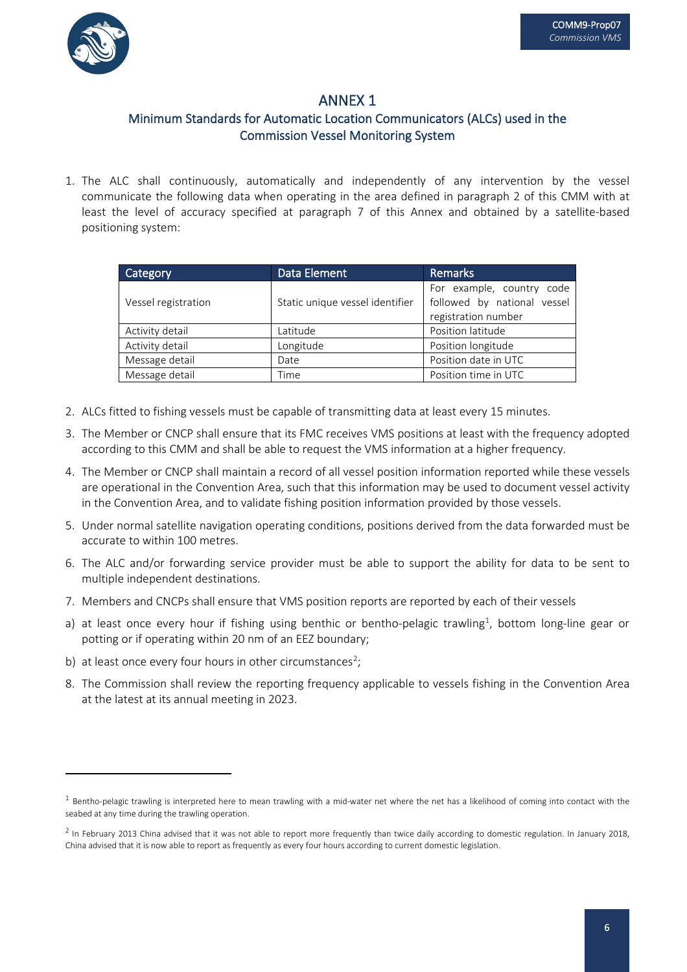

### Minimum Standards for Automatic Location Communicators (ALCs) used in the Commission Vessel Monitoring System

1. The ALC shall continuously, automatically and independently of any intervention by the vessel communicate the following data when operating in the area defined in paragraph 2 of this CMM with at least the level of accuracy specified at paragraph 7 of this Annex and obtained by a satellite-based positioning system:

| Category            | Data Element                    | <b>Remarks</b>                                                                  |  |
|---------------------|---------------------------------|---------------------------------------------------------------------------------|--|
| Vessel registration | Static unique vessel identifier | For example, country code<br>followed by national vessel<br>registration number |  |
| Activity detail     | Latitude                        | Position latitude                                                               |  |
| Activity detail     | Longitude                       | Position longitude                                                              |  |
| Message detail      | Date                            | Position date in UTC                                                            |  |
| Message detail      | Time                            | Position time in UTC                                                            |  |

- 2. ALCs fitted to fishing vessels must be capable of transmitting data at least every 15 minutes.
- 3. The Member or CNCP shall ensure that its FMC receives VMS positions at least with the frequency adopted according to this CMM and shall be able to request the VMS information at a higher frequency.
- 4. The Member or CNCP shall maintain a record of all vessel position information reported while these vessels are operational in the Convention Area, such that this information may be used to document vessel activity in the Convention Area, and to validate fishing position information provided by those vessels.
- 5. Under normal satellite navigation operating conditions, positions derived from the data forwarded must be accurate to within 100 metres.
- 6. The ALC and/or forwarding service provider must be able to support the ability for data to be sent to multiple independent destinations.
- 7. Members and CNCPs shall ensure that VMS position reports are reported by each of their vessels
- a) at least once every hour if fishing using benthic or bentho-pelagic trawling<sup>1</sup>, bottom long-line gear or potting or if operating within 20 nm of an EEZ boundary;
- b) at least once every four hours in other circumstances<sup>[2](#page-6-1)</sup>;
- 8. The Commission shall review the reporting frequency applicable to vessels fishing in the Convention Area at the latest at its annual meeting in 2023.

<span id="page-6-0"></span> $1$  Bentho-pelagic trawling is interpreted here to mean trawling with a mid-water net where the net has a likelihood of coming into contact with the seabed at any time during the trawling operation.

<span id="page-6-1"></span> $^2$  In February 2013 China advised that it was not able to report more frequently than twice daily according to domestic regulation. In January 2018, China advised that it is now able to report as frequently as every four hours according to current domestic legislation.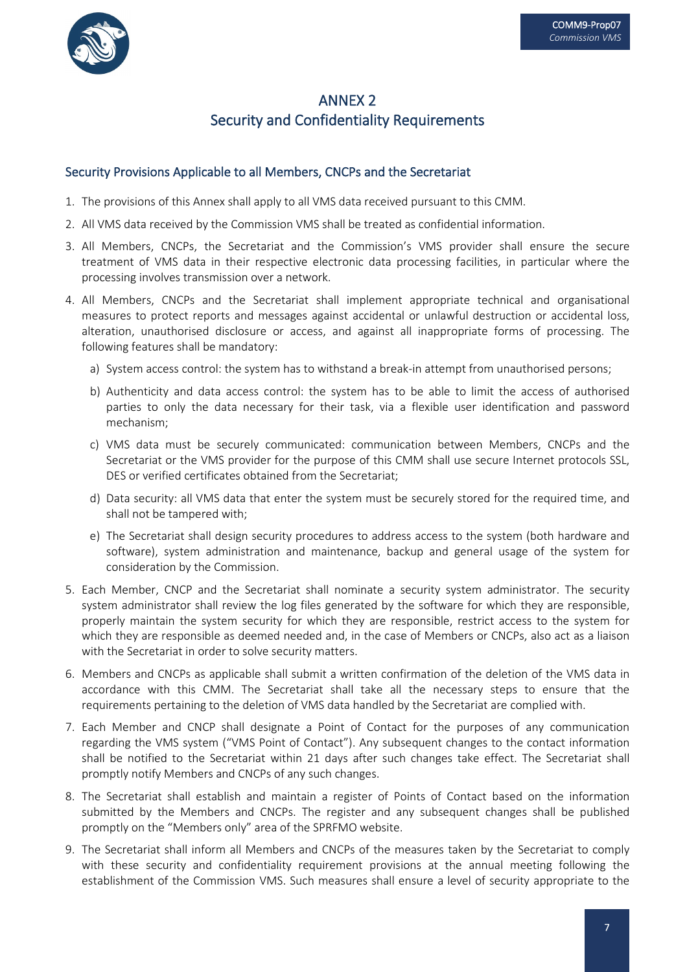

## ANNEX 2 Security and Confidentiality Requirements

#### Security Provisions Applicable to all Members, CNCPs and the Secretariat

- 1. The provisions of this Annex shall apply to all VMS data received pursuant to this CMM.
- 2. All VMS data received by the Commission VMS shall be treated as confidential information.
- 3. All Members, CNCPs, the Secretariat and the Commission's VMS provider shall ensure the secure treatment of VMS data in their respective electronic data processing facilities, in particular where the processing involves transmission over a network.
- 4. All Members, CNCPs and the Secretariat shall implement appropriate technical and organisational measures to protect reports and messages against accidental or unlawful destruction or accidental loss, alteration, unauthorised disclosure or access, and against all inappropriate forms of processing. The following features shall be mandatory:
	- a) System access control: the system has to withstand a break-in attempt from unauthorised persons;
	- b) Authenticity and data access control: the system has to be able to limit the access of authorised parties to only the data necessary for their task, via a flexible user identification and password mechanism;
	- c) VMS data must be securely communicated: communication between Members, CNCPs and the Secretariat or the VMS provider for the purpose of this CMM shall use secure Internet protocols SSL, DES or verified certificates obtained from the Secretariat;
	- d) Data security: all VMS data that enter the system must be securely stored for the required time, and shall not be tampered with;
	- e) The Secretariat shall design security procedures to address access to the system (both hardware and software), system administration and maintenance, backup and general usage of the system for consideration by the Commission.
- 5. Each Member, CNCP and the Secretariat shall nominate a security system administrator. The security system administrator shall review the log files generated by the software for which they are responsible, properly maintain the system security for which they are responsible, restrict access to the system for which they are responsible as deemed needed and, in the case of Members or CNCPs, also act as a liaison with the Secretariat in order to solve security matters.
- 6. Members and CNCPs as applicable shall submit a written confirmation of the deletion of the VMS data in accordance with this CMM. The Secretariat shall take all the necessary steps to ensure that the requirements pertaining to the deletion of VMS data handled by the Secretariat are complied with.
- 7. Each Member and CNCP shall designate a Point of Contact for the purposes of any communication regarding the VMS system ("VMS Point of Contact"). Any subsequent changes to the contact information shall be notified to the Secretariat within 21 days after such changes take effect. The Secretariat shall promptly notify Members and CNCPs of any such changes.
- 8. The Secretariat shall establish and maintain a register of Points of Contact based on the information submitted by the Members and CNCPs. The register and any subsequent changes shall be published promptly on the "Members only" area of the SPRFMO website.
- 9. The Secretariat shall inform all Members and CNCPs of the measures taken by the Secretariat to comply with these security and confidentiality requirement provisions at the annual meeting following the establishment of the Commission VMS. Such measures shall ensure a level of security appropriate to the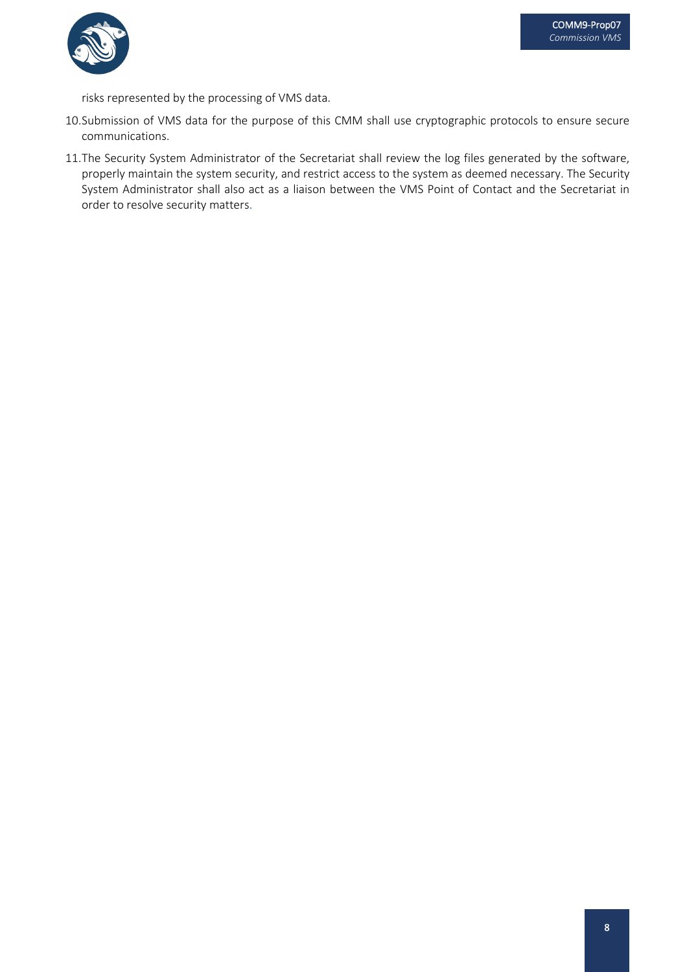

risks represented by the processing of VMS data.

- 10.Submission of VMS data for the purpose of this CMM shall use cryptographic protocols to ensure secure communications.
- 11.The Security System Administrator of the Secretariat shall review the log files generated by the software, properly maintain the system security, and restrict access to the system as deemed necessary. The Security System Administrator shall also act as a liaison between the VMS Point of Contact and the Secretariat in order to resolve security matters.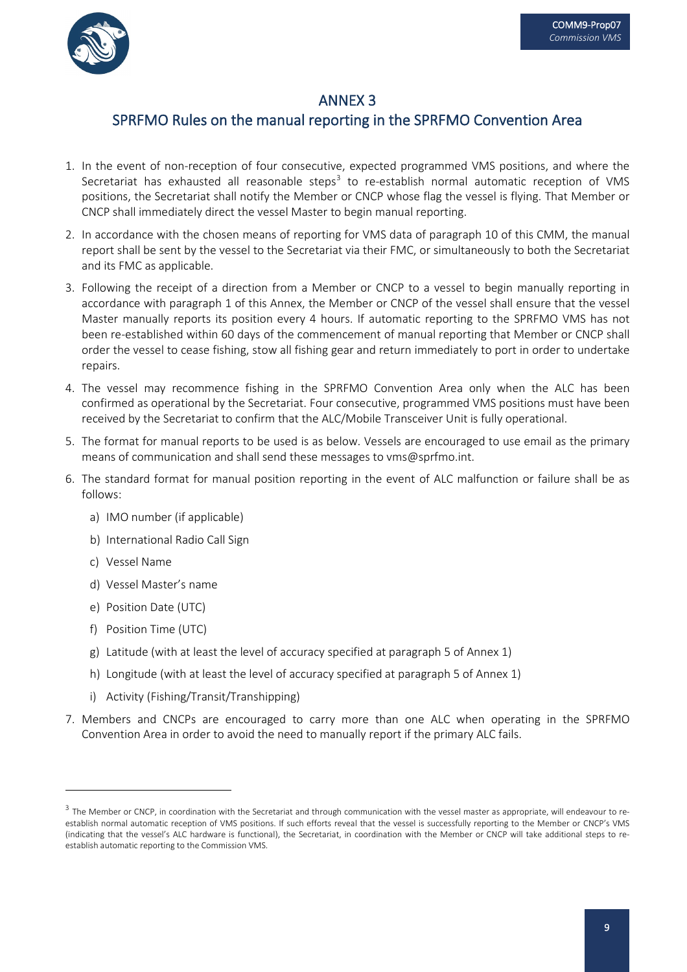



## SPRFMO Rules on the manual reporting in the SPRFMO Convention Area

- 1. In the event of non-reception of four consecutive, expected programmed VMS positions, and where the Secretariat has exhausted all reasonable steps<sup>[3](#page-9-0)</sup> to re-establish normal automatic reception of VMS positions, the Secretariat shall notify the Member or CNCP whose flag the vessel is flying. That Member or CNCP shall immediately direct the vessel Master to begin manual reporting.
- 2. In accordance with the chosen means of reporting for VMS data of paragraph 10 of this CMM, the manual report shall be sent by the vessel to the Secretariat via their FMC, or simultaneously to both the Secretariat and its FMC as applicable.
- 3. Following the receipt of a direction from a Member or CNCP to a vessel to begin manually reporting in accordance with paragraph 1 of this Annex, the Member or CNCP of the vessel shall ensure that the vessel Master manually reports its position every 4 hours. If automatic reporting to the SPRFMO VMS has not been re-established within 60 days of the commencement of manual reporting that Member or CNCP shall order the vessel to cease fishing, stow all fishing gear and return immediately to port in order to undertake repairs.
- 4. The vessel may recommence fishing in the SPRFMO Convention Area only when the ALC has been confirmed as operational by the Secretariat. Four consecutive, programmed VMS positions must have been received by the Secretariat to confirm that the ALC/Mobile Transceiver Unit is fully operational.
- 5. The format for manual reports to be used is as below. Vessels are encouraged to use email as the primary means of communication and shall send these messages to [vms@sprfmo.int.](mailto:secretariat@sprfmo.int)
- 6. The standard format for manual position reporting in the event of ALC malfunction or failure shall be as follows:
	- a) IMO number (if applicable)
	- b) International Radio Call Sign
	- c) Vessel Name
	- d) Vessel Master's name
	- e) Position Date (UTC)
	- f) Position Time (UTC)
	- g) Latitude (with at least the level of accuracy specified at paragraph 5 of Annex 1)
	- h) Longitude (with at least the level of accuracy specified at paragraph 5 of Annex 1)
	- i) Activity (Fishing/Transit/Transhipping)
- 7. Members and CNCPs are encouraged to carry more than one ALC when operating in the SPRFMO Convention Area in order to avoid the need to manually report if the primary ALC fails.

<span id="page-9-0"></span><sup>&</sup>lt;sup>3</sup> The Member or CNCP, in coordination with the Secretariat and through communication with the vessel master as appropriate, will endeavour to reestablish normal automatic reception of VMS positions. If such efforts reveal that the vessel is successfully reporting to the Member or CNCP's VMS (indicating that the vessel's ALC hardware is functional), the Secretariat, in coordination with the Member or CNCP will take additional steps to reestablish automatic reporting to the Commission VMS.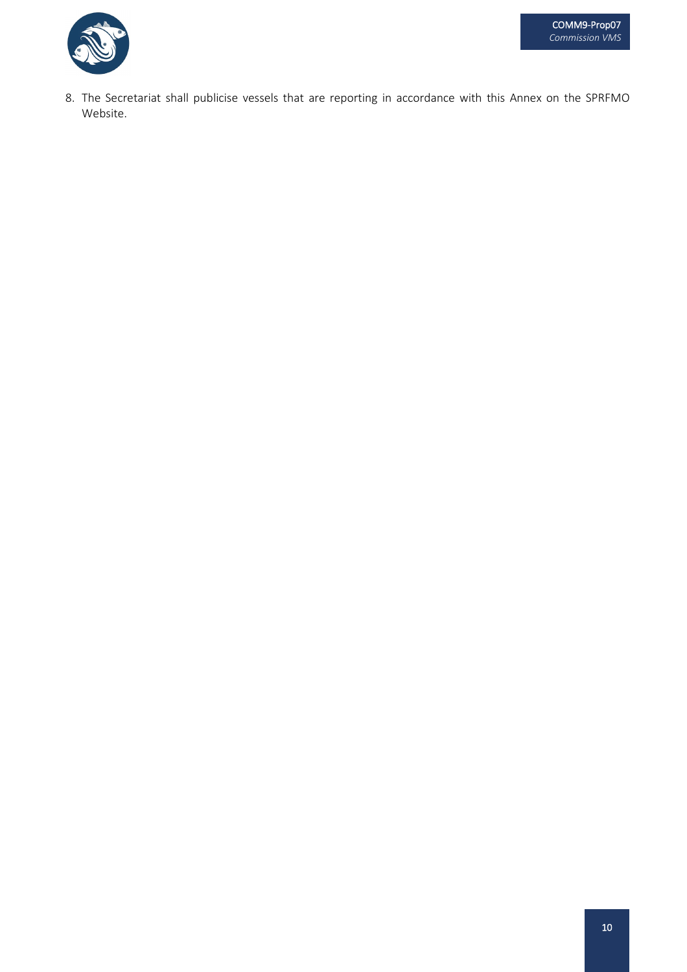

8. The Secretariat shall publicise vessels that are reporting in accordance with this Annex on the SPRFMO Website.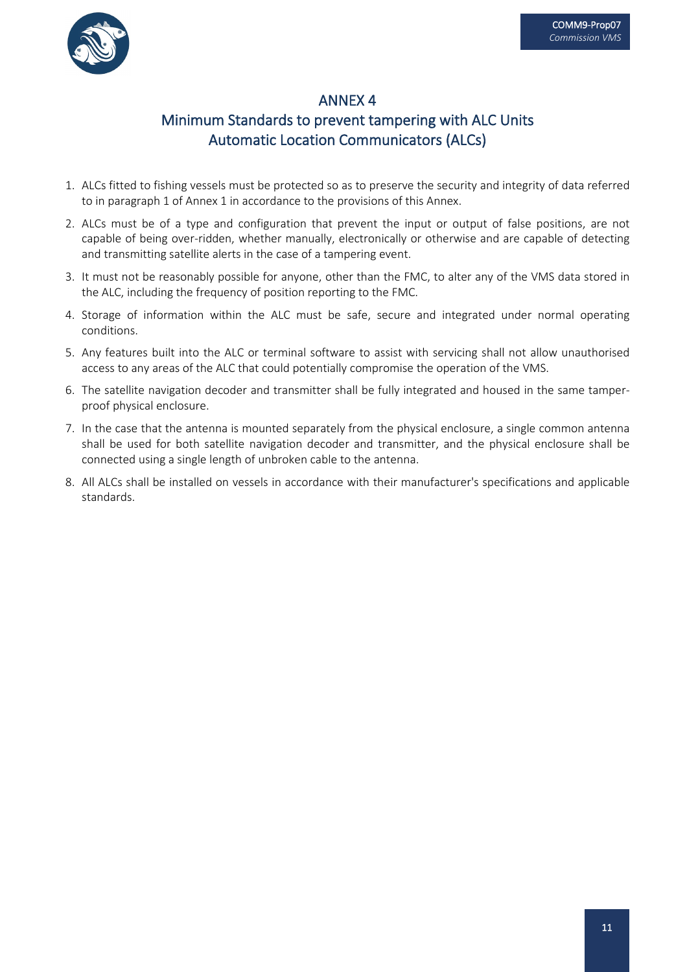

## Minimum Standards to prevent tampering with ALC Units Automatic Location Communicators (ALCs)

- 1. ALCs fitted to fishing vessels must be protected so as to preserve the security and integrity of data referred to in paragraph 1 of Annex 1 in accordance to the provisions of this Annex.
- 2. ALCs must be of a type and configuration that prevent the input or output of false positions, are not capable of being over-ridden, whether manually, electronically or otherwise and are capable of detecting and transmitting satellite alerts in the case of a tampering event.
- 3. It must not be reasonably possible for anyone, other than the FMC, to alter any of the VMS data stored in the ALC, including the frequency of position reporting to the FMC.
- 4. Storage of information within the ALC must be safe, secure and integrated under normal operating conditions.
- 5. Any features built into the ALC or terminal software to assist with servicing shall not allow unauthorised access to any areas of the ALC that could potentially compromise the operation of the VMS.
- 6. The satellite navigation decoder and transmitter shall be fully integrated and housed in the same tamperproof physical enclosure.
- 7. In the case that the antenna is mounted separately from the physical enclosure, a single common antenna shall be used for both satellite navigation decoder and transmitter, and the physical enclosure shall be connected using a single length of unbroken cable to the antenna.
- 8. All ALCs shall be installed on vessels in accordance with their manufacturer's specifications and applicable standards.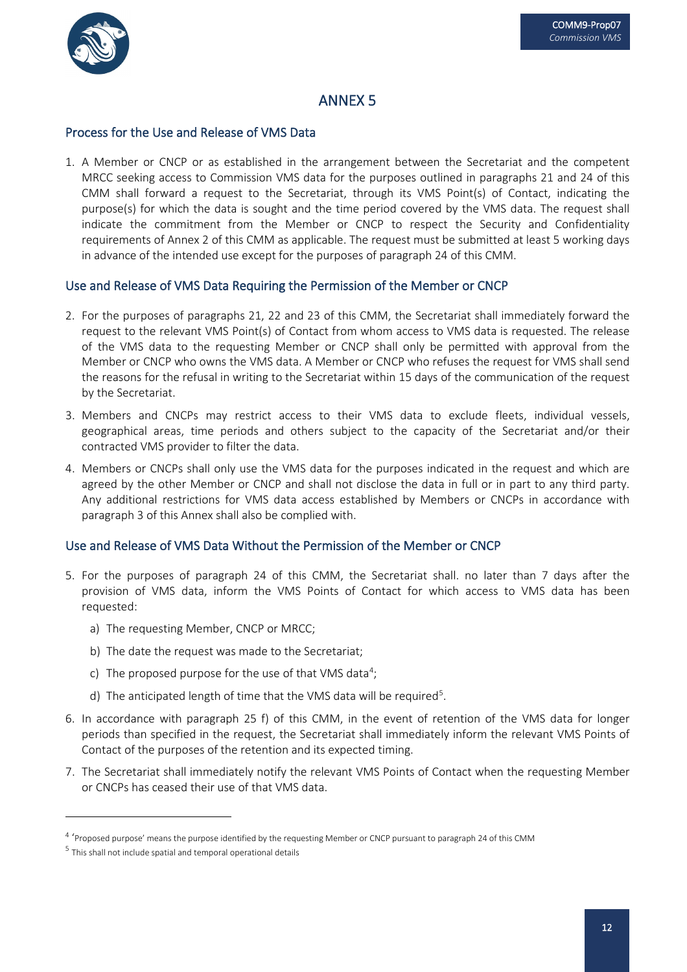

#### Process for the Use and Release of VMS Data

1. A Member or CNCP or as established in the arrangement between the Secretariat and the competent MRCC seeking access to Commission VMS data for the purposes outlined in paragraphs 21 and 24 of this CMM shall forward a request to the Secretariat, through its VMS Point(s) of Contact, indicating the purpose(s) for which the data is sought and the time period covered by the VMS data. The request shall indicate the commitment from the Member or CNCP to respect the Security and Confidentiality requirements of Annex 2 of this CMM as applicable. The request must be submitted at least 5 working days in advance of the intended use except for the purposes of paragraph 24 of this CMM.

#### Use and Release of VMS Data Requiring the Permission of the Member or CNCP

- 2. For the purposes of paragraphs 21, 22 and 23 of this CMM, the Secretariat shall immediately forward the request to the relevant VMS Point(s) of Contact from whom access to VMS data is requested. The release of the VMS data to the requesting Member or CNCP shall only be permitted with approval from the Member or CNCP who owns the VMS data. A Member or CNCP who refuses the request for VMS shall send the reasons for the refusal in writing to the Secretariat within 15 days of the communication of the request by the Secretariat.
- 3. Members and CNCPs may restrict access to their VMS data to exclude fleets, individual vessels, geographical areas, time periods and others subject to the capacity of the Secretariat and/or their contracted VMS provider to filter the data.
- 4. Members or CNCPs shall only use the VMS data for the purposes indicated in the request and which are agreed by the other Member or CNCP and shall not disclose the data in full or in part to any third party. Any additional restrictions for VMS data access established by Members or CNCPs in accordance with paragraph 3 of this Annex shall also be complied with.

#### Use and Release of VMS Data Without the Permission of the Member or CNCP

- 5. For the purposes of paragraph 24 of this CMM, the Secretariat shall. no later than 7 days after the provision of VMS data, inform the VMS Points of Contact for which access to VMS data has been requested:
	- a) The requesting Member, CNCP or MRCC;
	- b) The date the request was made to the Secretariat;
	- c) The proposed purpose for the use of that VMS data<sup>[4](#page-12-0)</sup>;
	- d) The anticipated length of time that the VMS data will be required<sup>5</sup>.
- 6. In accordance with paragraph 25 f) of this CMM, in the event of retention of the VMS data for longer periods than specified in the request, the Secretariat shall immediately inform the relevant VMS Points of Contact of the purposes of the retention and its expected timing.
- 7. The Secretariat shall immediately notify the relevant VMS Points of Contact when the requesting Member or CNCPs has ceased their use of that VMS data.

<span id="page-12-0"></span><sup>4</sup> 'Proposed purpose' means the purpose identified by the requesting Member or CNCP pursuant to paragraph 24 of this CMM

<span id="page-12-1"></span><sup>&</sup>lt;sup>5</sup> This shall not include spatial and temporal operational details